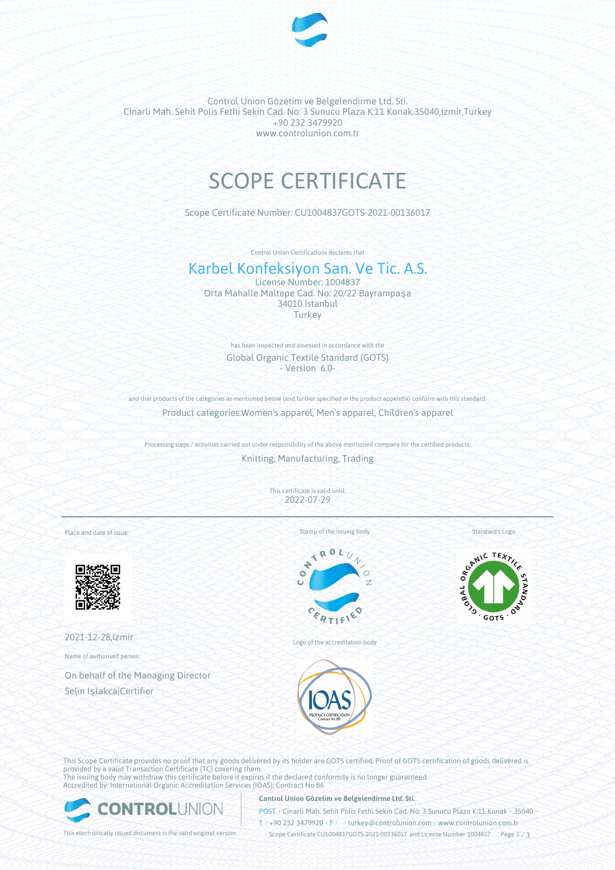

Control Union Gözetim ve Belgelendirme Ltd. Sti. Cinarli Mah. Sehit Polis Fethi Sekin Cad. No: 3 Sunucu Plaza K:11 Konak,35040,Izmir,Turkey +90 232 3479920 www.controlunion.com.tr

# SCOPE CERTIFICATE

Scope Certificate Number: CU1004837GOTS-2021-00136017

Control Union Certifications declares that

## Karbel Konfeksiyon San. Ve Tic. A.S.

License Number: 1004837 Orta Mahalle Maltepe Cad. No: 20/22 Bayrampaşa 34010 Istanbul Turkey

> has been inspected and assessed in accordance with the Global Organic Textile Standard (GOTS) - Version 6.0-

and that products of the categories as mentioned below (and further specified in the product appendix) conform with this standard. Product categories:Women's apparel, Men's apparel, Children's apparel

Processing steps / activities carried out under responsibility of the above mentioned company for the certified products: Knitting, Manufacturing, Trading

> This certificate is valid until: 2022-07-29

Place and date of issue:



2021-12-28,Izmir

Name of authorised person:

On behalf of the Managing Director Selin Işlakca|Certifier

Stamp of the issuing body



Logo of the accreditation body



This Scope Certificate provides no proof that any goods delivered by its holder are GOTS certified. Proof of GOTS certification of goods delivered is provided by a valid Transaction Certificate (TC) covering them. The issuing body may withdraw this certificate before it expires if the declared conformity is no longer guaranteed. Accredited by: International Organic Accreditation Services (IOAS); Contract No 86

ONTROL

## **Control Union Gözetim ve Belgelendirme Ltd. Sti.**

POST • Cinarli Mah. Sehit Polis Fethi Sekin Cad. No: 3 Sunucu Plaza K:11 Konak • 35040 • T • +90 232 3479920 • F • • turkey@controlunion.com • www.controlunion.com.tr

This electronically issued document is the valid original version. Scope Certificate CU1004837GOTS-2021-00136017 and License Number 1004837 Page 1 / 3



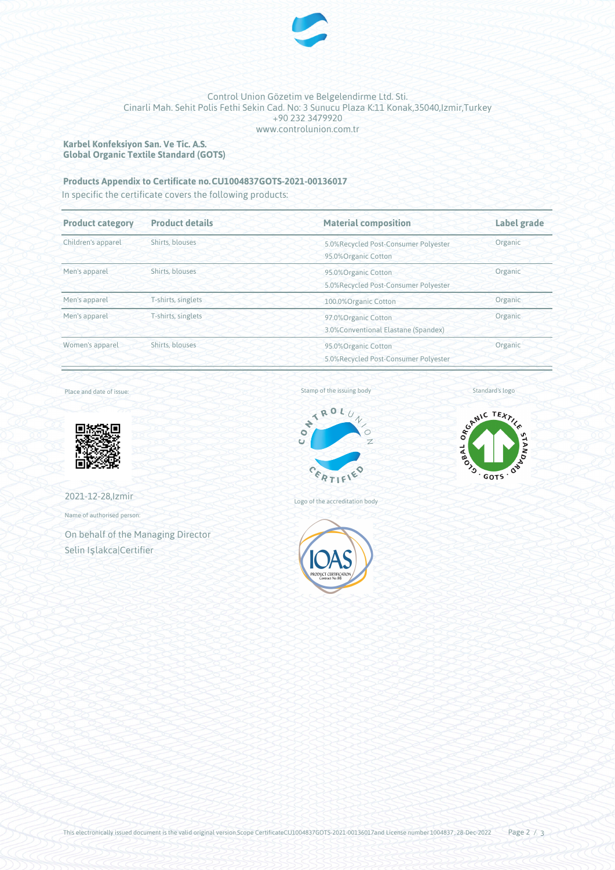

## Control Union Gözetim ve Belgelendirme Ltd. Sti. Cinarli Mah. Sehit Polis Fethi Sekin Cad. No: 3 Sunucu Plaza K:11 Konak,35040,Izmir,Turkey +90 232 3479920 www.controlunion.com.tr

**Karbel Konfeksiyon San. Ve Tic. A.S. Global Organic Textile Standard (GOTS)**

## **Products Appendix to Certificate no.CU1004837GOTS-2021-00136017**

In specific the certificate covers the following products:

| <b>Product category</b> | <b>Product details</b> | <b>Material composition</b>                                            | Label grade |
|-------------------------|------------------------|------------------------------------------------------------------------|-------------|
| Children's apparel      | Shirts, blouses        | 5.0%Recycled Post-Consumer Polyester<br>95.0%Organic Cotton            | Organic     |
| Men's apparel           | Shirts, blouses        | 95.0%Organic Cotton<br>5.0%Recycled Post-Consumer Polyester            | Organic     |
| Men's apparel           | T-shirts, singlets     | 100.0% Organic Cotton                                                  | Organic     |
| Men's apparel           | T-shirts, singlets     | Organic<br>97.0%Organic Cotton<br>3.0% Conventional Elastane (Spandex) |             |
| Women's apparel         | Shirts, blouses        | 95.0%Organic Cotton<br>5.0%Recycled Post-Consumer Polyester            | Organic     |

Place and date of issue:



2021-12-28,Izmir

Name of authorised person:

On behalf of the Managing Director Selin Işlakca|Certifier

Stamp of the issuing body



Logo of the accreditation body







This electronically issued document is the valid original version.Scope CertificateCU1004837GOTS-2021-00136017and License number 1004837, 28-Dec-2022 Page  $2 / 3$